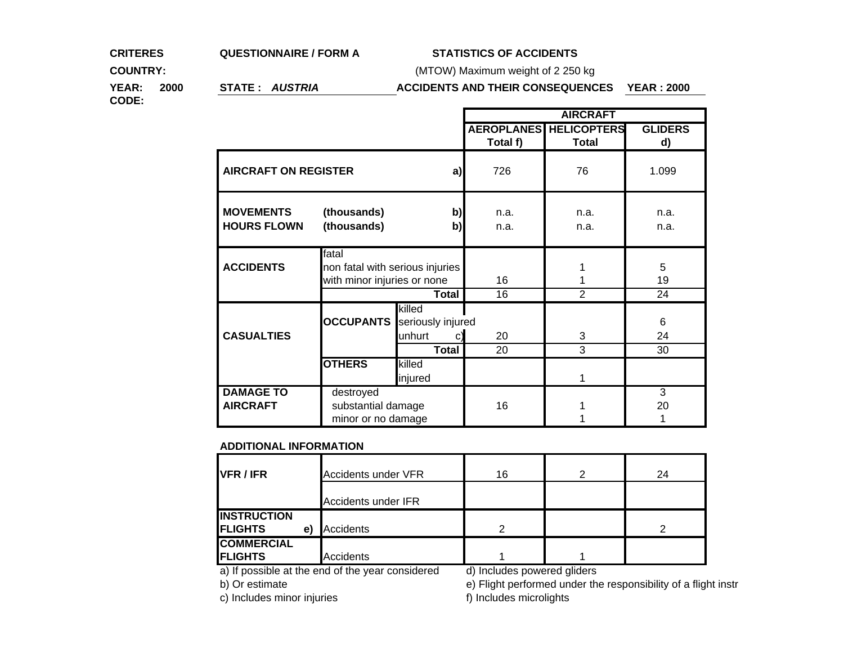### **CRITERES QUESTIONNAIRE / FORM A STATISTICS OF ACCIDENTS**

**COUNTRY:**

(MTOW) Maximum weight of 2 250 kg

**YEAR: 2000 STATE :** *AUSTRIA*

## **ACCIDENTS AND THEIR CONSEQUENCES YEAR : 2000**

**CODE:**

|                                        |                                                                         |                                                             | <b>AIRCRAFT</b> |                               |                           |
|----------------------------------------|-------------------------------------------------------------------------|-------------------------------------------------------------|-----------------|-------------------------------|---------------------------|
|                                        |                                                                         |                                                             |                 | <b>AEROPLANES HELICOPTERS</b> | <b>GLIDERS</b>            |
|                                        |                                                                         |                                                             | Total f)        | <b>Total</b>                  | d)                        |
| <b>AIRCRAFT ON REGISTER</b><br>a)      |                                                                         |                                                             | 726             | 76                            | 1.099                     |
| <b>MOVEMENTS</b><br><b>HOURS FLOWN</b> | (thousands)<br>b)<br>(thousands)<br>b)                                  |                                                             | n.a.<br>n.a.    | n.a.<br>n.a.                  | n.a.<br>n.a.              |
| <b>ACCIDENTS</b>                       | fatal<br>non fatal with serious injuries<br>with minor injuries or none |                                                             | 16              |                               | 5<br>19                   |
|                                        | Total                                                                   |                                                             | 16              | $\overline{2}$                | 24                        |
| <b>CASUALTIES</b>                      | <b>OCCUPANTS</b>                                                        | killed<br>seriously injured<br>unhurt<br>C)<br><b>Total</b> | 20<br>20        | 3<br>3                        | 6<br>24<br>30             |
|                                        | <b>OTHERS</b>                                                           | killed<br>injured                                           |                 |                               |                           |
| <b>DAMAGE TO</b><br><b>AIRCRAFT</b>    | destroyed<br>substantial damage<br>minor or no damage                   |                                                             | 16              |                               | $\overline{3}$<br>20<br>1 |

#### **ADDITIONAL INFORMATION**

| VFR / IFR            | <b>Accidents under VFR</b> | 16 | 24 |
|----------------------|----------------------------|----|----|
|                      | Accidents under IFR        |    |    |
| <b>INSTRUCTION</b>   |                            |    |    |
| <b>FLIGHTS</b><br>e) | Accidents                  | ◠  | ⌒  |
| <b>COMMERCIAL</b>    |                            |    |    |
| <b>FLIGHTS</b>       | <b>Accidents</b>           |    |    |

a) If possible at the end of the year considered d) Includes powered gliders<br>b) Or estimate depending the end of the year considered depending the efformed under the

e) Flight performed under the responsibility of a flight instr

c) Includes minor injuries f) Includes microlights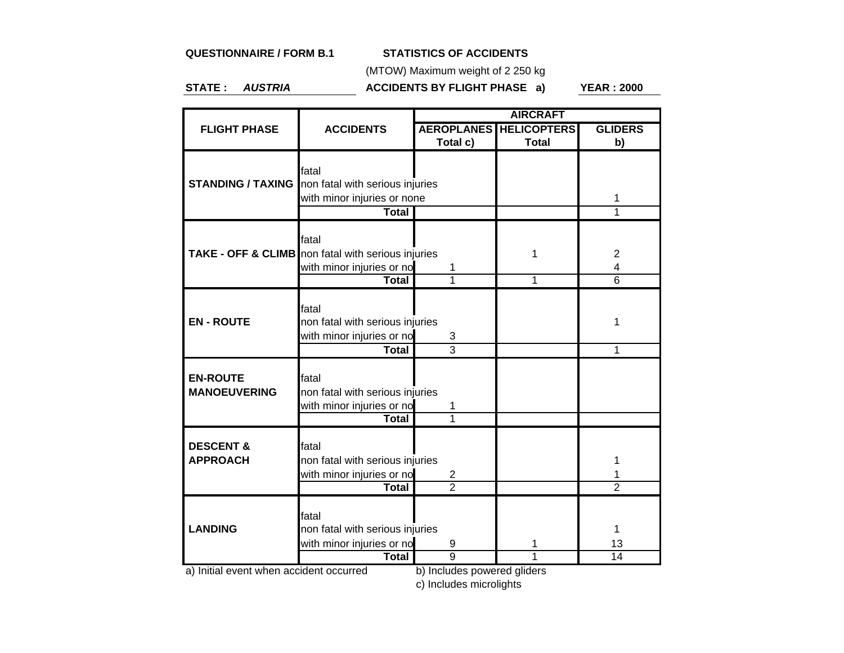## **QUESTIONNAIRE / FORM B.1**

## **STATISTICS OF ACCIDENTS**

(MTOW) Maximum weight of 2 250 kg

**STATE :** *AUSTRIA*

**ACCIDENTS BY FLIGHT PHASE a) YEAR : 2000**

|                      |                                                               | <b>AIRCRAFT</b>   |                    |                |  |
|----------------------|---------------------------------------------------------------|-------------------|--------------------|----------------|--|
| <b>FLIGHT PHASE</b>  | <b>ACCIDENTS</b>                                              | <b>AEROPLANES</b> | <b>HELICOPTERS</b> | <b>GLIDERS</b> |  |
|                      |                                                               | Total c)          | <b>Total</b>       | b)             |  |
|                      |                                                               |                   |                    |                |  |
|                      | fatal                                                         |                   |                    |                |  |
|                      | <b>STANDING / TAXING</b> non fatal with serious injuries      |                   |                    |                |  |
|                      | with minor injuries or none                                   |                   |                    | 1              |  |
|                      | <b>Total</b>                                                  |                   |                    | 1              |  |
|                      | fatal                                                         |                   |                    |                |  |
|                      | <b>TAKE - OFF &amp; CLIMB</b> non fatal with serious injuries |                   | 1                  | $\overline{2}$ |  |
|                      |                                                               | 1                 |                    | 4              |  |
|                      | with minor injuries or no<br><b>Total</b>                     | 1                 | 1                  | $\overline{6}$ |  |
|                      |                                                               |                   |                    |                |  |
|                      | fatal                                                         |                   |                    |                |  |
| <b>EN-ROUTE</b>      | non fatal with serious injuries                               |                   |                    | 1              |  |
|                      | with minor injuries or no                                     | 3                 |                    |                |  |
|                      | Total                                                         | $\overline{3}$    |                    | 1              |  |
|                      |                                                               |                   |                    |                |  |
| <b>EN-ROUTE</b>      | fatal                                                         |                   |                    |                |  |
| <b>MANOEUVERING</b>  | non fatal with serious injuries                               |                   |                    |                |  |
|                      | with minor injuries or no                                     | 1                 |                    |                |  |
|                      | Total                                                         | 1                 |                    |                |  |
|                      |                                                               |                   |                    |                |  |
| <b>DESCENT &amp;</b> | fatal                                                         |                   |                    |                |  |
| <b>APPROACH</b>      | non fatal with serious injuries                               |                   |                    |                |  |
|                      | with minor injuries or no                                     | 2                 |                    | 1              |  |
|                      | <b>Total</b>                                                  | $\overline{2}$    |                    | $\overline{2}$ |  |
|                      |                                                               |                   |                    |                |  |
| <b>LANDING</b>       | fatal                                                         |                   |                    |                |  |
|                      | non fatal with serious injuries                               |                   |                    | 1              |  |
|                      | with minor injuries or no                                     | 9                 | 1                  | 13             |  |
| $\overline{a}$       | <b>Total</b><br>$i$ dont                                      | 9<br>$h$ lnali    |                    | 14             |  |

a) Initial event when accident occurred b) Includes powered gliders

c) Includes microlights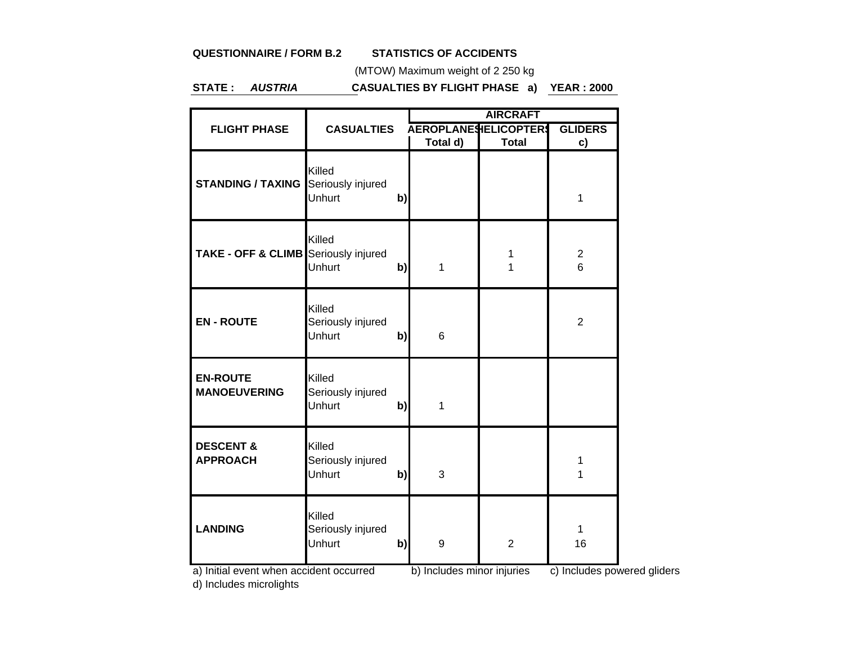# **QUESTIONNAIRE / FORM B.2**

# **STATISTICS OF ACCIDENTS**

(MTOW) Maximum weight of 2 250 kg

**STATE :** *AUSTRIA***CASUALTIES BY FLIGHT PHASE a) YEAR : 2000**

|                                                           | <b>CASUALTIES</b>                     |              | <b>AIRCRAFT</b>                 |                |                                     |  |
|-----------------------------------------------------------|---------------------------------------|--------------|---------------------------------|----------------|-------------------------------------|--|
| <b>FLIGHT PHASE</b>                                       |                                       |              | <b>AEROPLANESIELICOPTERS</b>    |                | <b>GLIDERS</b>                      |  |
|                                                           |                                       |              | Total d)                        | <b>Total</b>   | c)                                  |  |
| <b>STANDING / TAXING</b>                                  | Killed<br>Seriously injured<br>Unhurt | b)           |                                 |                | 1                                   |  |
| <b>TAKE - OFF &amp; CLIMB</b> Seriously injured           | Killed<br><b>Unhurt</b>               | $\mathbf{b}$ | 1                               | 1<br>1         | $\boldsymbol{2}$<br>$6\overline{6}$ |  |
| <b>EN-ROUTE</b>                                           | Killed<br>Seriously injured<br>Unhurt | $\mathbf{b}$ | 6                               |                | $\overline{2}$                      |  |
| <b>EN-ROUTE</b><br><b>MANOEUVERING</b>                    | Killed<br>Seriously injured<br>Unhurt | $\mathbf{b}$ | 1                               |                |                                     |  |
| <b>DESCENT &amp;</b><br><b>APPROACH</b>                   | Killed<br>Seriously injured<br>Unhurt | $\mathsf{b}$ | 3                               |                | 1<br>1                              |  |
| <b>LANDING</b><br>a) Initial avant whon accident occurred | Killed<br>Seriously injured<br>Unhurt | $\mathbf{b}$ | 9<br>b) Includes miner injuries | $\overline{2}$ | 1<br>16<br>$\alpha$ Includes nowe   |  |

a) Initial event when accident occurred b) Includes minor injuries c) Includes powered gliders

d) Includes microlights